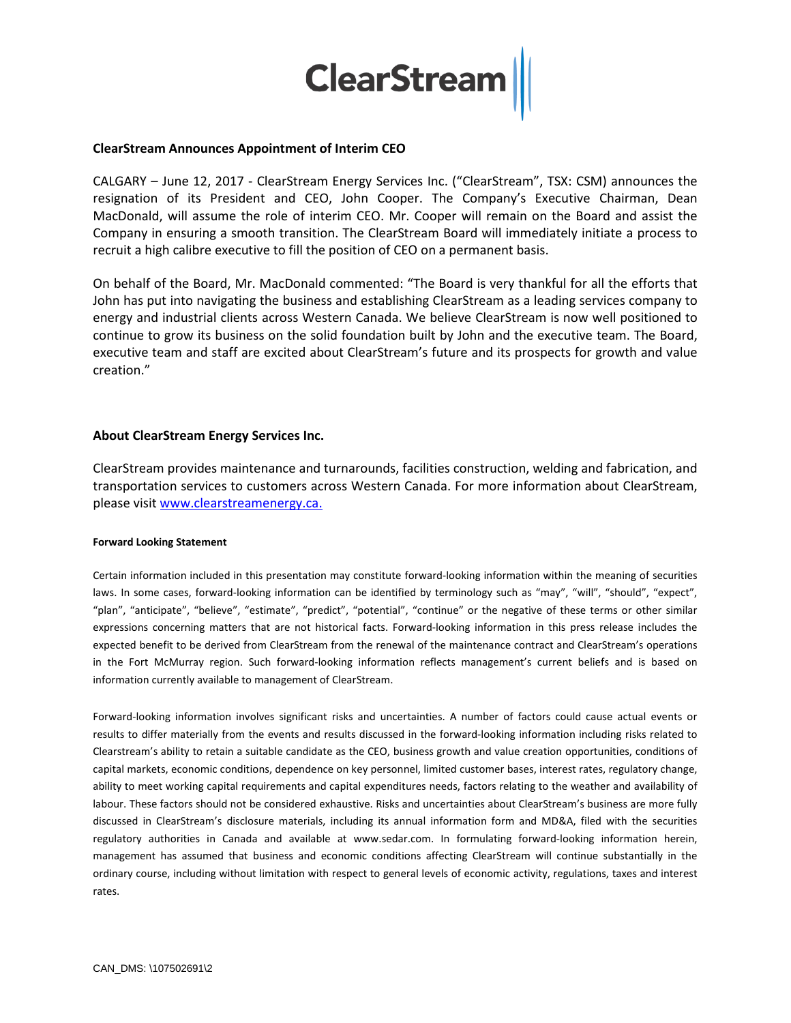

### **ClearStream Announces Appointment of Interim CEO**

CALGARY – June 12, 2017 - ClearStream Energy Services Inc. ("ClearStream", TSX: CSM) announces the resignation of its President and CEO, John Cooper. The Company's Executive Chairman, Dean MacDonald, will assume the role of interim CEO. Mr. Cooper will remain on the Board and assist the Company in ensuring a smooth transition. The ClearStream Board will immediately initiate a process to recruit a high calibre executive to fill the position of CEO on a permanent basis.

On behalf of the Board, Mr. MacDonald commented: "The Board is very thankful for all the efforts that John has put into navigating the business and establishing ClearStream as a leading services company to energy and industrial clients across Western Canada. We believe ClearStream is now well positioned to continue to grow its business on the solid foundation built by John and the executive team. The Board, executive team and staff are excited about ClearStream's future and its prospects for growth and value creation."

## **About ClearStream Energy Services Inc.**

ClearStream provides maintenance and turnarounds, facilities construction, welding and fabrication, and transportation services to customers across Western Canada. For more information about ClearStream, please visit [www.clearstreamenergy.ca.](http://www.clearstreamenergy.ca/)

#### **Forward Looking Statement**

Certain information included in this presentation may constitute forward-looking information within the meaning of securities laws. In some cases, forward-looking information can be identified by terminology such as "may", "will", "should", "expect", "plan", "anticipate", "believe", "estimate", "predict", "potential", "continue" or the negative of these terms or other similar expressions concerning matters that are not historical facts. Forward-looking information in this press release includes the expected benefit to be derived from ClearStream from the renewal of the maintenance contract and ClearStream's operations in the Fort McMurray region. Such forward-looking information reflects management's current beliefs and is based on information currently available to management of ClearStream.

Forward-looking information involves significant risks and uncertainties. A number of factors could cause actual events or results to differ materially from the events and results discussed in the forward-looking information including risks related to Clearstream's ability to retain a suitable candidate as the CEO, business growth and value creation opportunities, conditions of capital markets, economic conditions, dependence on key personnel, limited customer bases, interest rates, regulatory change, ability to meet working capital requirements and capital expenditures needs, factors relating to the weather and availability of labour. These factors should not be considered exhaustive. Risks and uncertainties about ClearStream's business are more fully discussed in ClearStream's disclosure materials, including its annual information form and MD&A, filed with the securities regulatory authorities in Canada and available at www.sedar.com. In formulating forward-looking information herein, management has assumed that business and economic conditions affecting ClearStream will continue substantially in the ordinary course, including without limitation with respect to general levels of economic activity, regulations, taxes and interest rates.